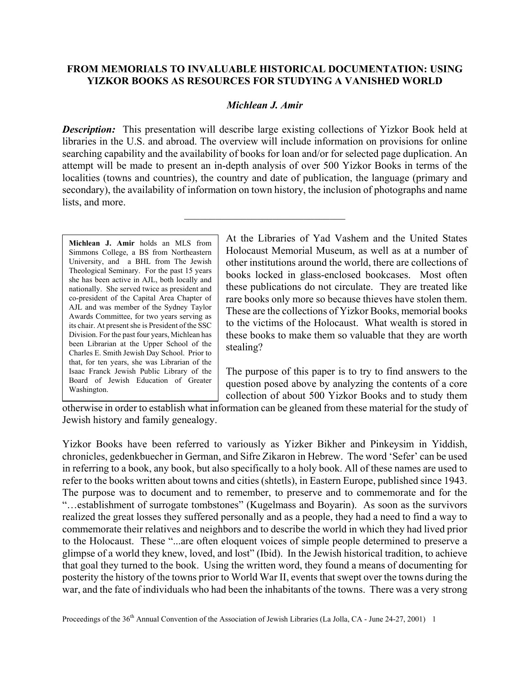# **FROM MEMORIALS TO INVALUABLE HISTORICAL DOCUMENTATION: USING YIZKOR BOOKS AS RESOURCES FOR STUDYING A VANISHED WORLD**

## *Michlean J. Amir*

*Description:* This presentation will describe large existing collections of Yizkor Book held at libraries in the U.S. and abroad. The overview will include information on provisions for online searching capability and the availability of books for loan and/or for selected page duplication. An attempt will be made to present an in-depth analysis of over 500 Yizkor Books in terms of the localities (towns and countries), the country and date of publication, the language (primary and secondary), the availability of information on town history, the inclusion of photographs and name lists, and more.

 $\mathcal{L}_\text{max}$  , where  $\mathcal{L}_\text{max}$  and  $\mathcal{L}_\text{max}$ 

**Michlean J. Amir** holds an MLS from Simmons College, a BS from Northeastern University, and a BHL from The Jewish Theological Seminary. For the past 15 years she has been active in AJL, both locally and nationally. She served twice as president and co-president of the Capital Area Chapter of AJL and was member of the Sydney Taylor Awards Committee, for two years serving as its chair. At present she is President of the SSC Division. For the past four years, Michlean has been Librarian at the Upper School of the Charles E. Smith Jewish Day School. Prior to that, for ten years, she was Librarian of the Isaac Franck Jewish Public Library of the Board of Jewish Education of Greater Washington.

At the Libraries of Yad Vashem and the United States Holocaust Memorial Museum, as well as at a number of other institutions around the world, there are collections of books locked in glass-enclosed bookcases. Most often these publications do not circulate. They are treated like rare books only more so because thieves have stolen them. These are the collections of Yizkor Books, memorial books to the victims of the Holocaust. What wealth is stored in these books to make them so valuable that they are worth stealing?

The purpose of this paper is to try to find answers to the question posed above by analyzing the contents of a core collection of about 500 Yizkor Books and to study them

otherwise in order to establish what information can be gleaned from these material for the study of Jewish history and family genealogy.

Yizkor Books have been referred to variously as Yizker Bikher and Pinkeysim in Yiddish, chronicles, gedenkbuecher in German, and Sifre Zikaron in Hebrew. The word 'Sefer' can be used in referring to a book, any book, but also specifically to a holy book. All of these names are used to refer to the books written about towns and cities (shtetls), in Eastern Europe, published since 1943. The purpose was to document and to remember, to preserve and to commemorate and for the "…establishment of surrogate tombstones" (Kugelmass and Boyarin). As soon as the survivors realized the great losses they suffered personally and as a people, they had a need to find a way to commemorate their relatives and neighbors and to describe the world in which they had lived prior to the Holocaust. These "...are often eloquent voices of simple people determined to preserve a glimpse of a world they knew, loved, and lost" (Ibid). In the Jewish historical tradition, to achieve that goal they turned to the book. Using the written word, they found a means of documenting for posterity the history of the towns prior to World War II, events that swept over the towns during the war, and the fate of individuals who had been the inhabitants of the towns. There was a very strong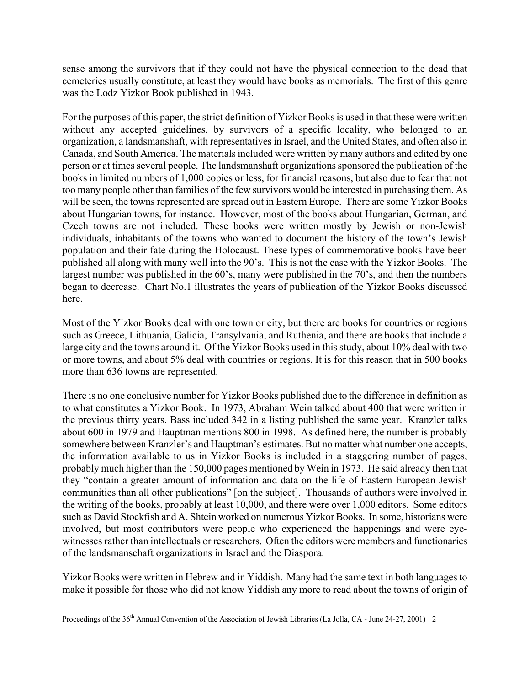sense among the survivors that if they could not have the physical connection to the dead that cemeteries usually constitute, at least they would have books as memorials. The first of this genre was the Lodz Yizkor Book published in 1943.

For the purposes of this paper, the strict definition of Yizkor Books is used in that these were written without any accepted guidelines, by survivors of a specific locality, who belonged to an organization, a landsmanshaft, with representatives in Israel, and the United States, and often also in Canada, and South America. The materials included were written by many authors and edited by one person or at times several people. The landsmanshaft organizations sponsored the publication of the books in limited numbers of 1,000 copies or less, for financial reasons, but also due to fear that not too many people other than families of the few survivors would be interested in purchasing them. As will be seen, the towns represented are spread out in Eastern Europe. There are some Yizkor Books about Hungarian towns, for instance. However, most of the books about Hungarian, German, and Czech towns are not included. These books were written mostly by Jewish or non-Jewish individuals, inhabitants of the towns who wanted to document the history of the town's Jewish population and their fate during the Holocaust. These types of commemorative books have been published all along with many well into the 90's. This is not the case with the Yizkor Books. The largest number was published in the 60's, many were published in the 70's, and then the numbers began to decrease. Chart No.1 illustrates the years of publication of the Yizkor Books discussed here.

Most of the Yizkor Books deal with one town or city, but there are books for countries or regions such as Greece, Lithuania, Galicia, Transylvania, and Ruthenia, and there are books that include a large city and the towns around it. Of the Yizkor Books used in this study, about 10% deal with two or more towns, and about 5% deal with countries or regions. It is for this reason that in 500 books more than 636 towns are represented.

There is no one conclusive number for Yizkor Books published due to the difference in definition as to what constitutes a Yizkor Book. In 1973, Abraham Wein talked about 400 that were written in the previous thirty years. Bass included 342 in a listing published the same year. Kranzler talks about 600 in 1979 and Hauptman mentions 800 in 1998. As defined here, the number is probably somewhere between Kranzler's and Hauptman's estimates. But no matter what number one accepts, the information available to us in Yizkor Books is included in a staggering number of pages, probably much higher than the 150,000 pages mentioned by Wein in 1973. He said already then that they "contain a greater amount of information and data on the life of Eastern European Jewish communities than all other publications" [on the subject]. Thousands of authors were involved in the writing of the books, probably at least 10,000, and there were over 1,000 editors. Some editors such as David Stockfish and A. Shtein worked on numerous Yizkor Books. In some, historians were involved, but most contributors were people who experienced the happenings and were eyewitnesses rather than intellectuals or researchers. Often the editors were members and functionaries of the landsmanschaft organizations in Israel and the Diaspora.

Yizkor Books were written in Hebrew and in Yiddish. Many had the same text in both languages to make it possible for those who did not know Yiddish any more to read about the towns of origin of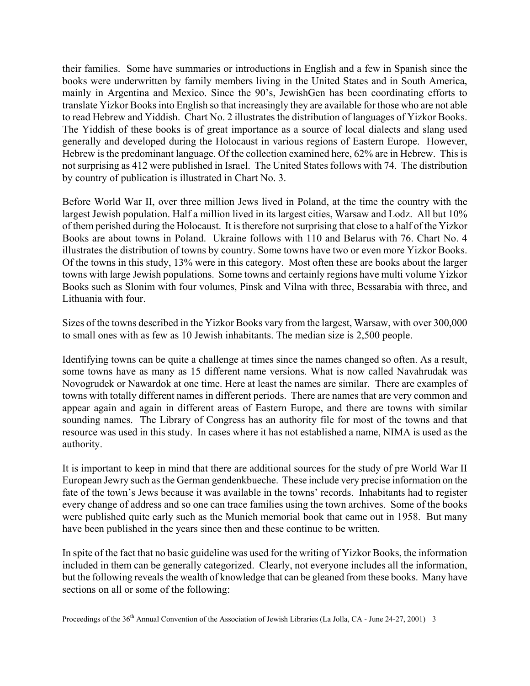their families. Some have summaries or introductions in English and a few in Spanish since the books were underwritten by family members living in the United States and in South America, mainly in Argentina and Mexico. Since the 90's, JewishGen has been coordinating efforts to translate Yizkor Books into English so that increasingly they are available for those who are not able to read Hebrew and Yiddish. Chart No. 2 illustrates the distribution of languages of Yizkor Books. The Yiddish of these books is of great importance as a source of local dialects and slang used generally and developed during the Holocaust in various regions of Eastern Europe. However, Hebrew is the predominant language. Of the collection examined here, 62% are in Hebrew. This is not surprising as 412 were published in Israel. The United States follows with 74. The distribution by country of publication is illustrated in Chart No. 3.

Before World War II, over three million Jews lived in Poland, at the time the country with the largest Jewish population. Half a million lived in its largest cities, Warsaw and Lodz. All but 10% of them perished during the Holocaust. It is therefore not surprising that close to a half of the Yizkor Books are about towns in Poland. Ukraine follows with 110 and Belarus with 76. Chart No. 4 illustrates the distribution of towns by country. Some towns have two or even more Yizkor Books. Of the towns in this study, 13% were in this category. Most often these are books about the larger towns with large Jewish populations. Some towns and certainly regions have multi volume Yizkor Books such as Slonim with four volumes, Pinsk and Vilna with three, Bessarabia with three, and Lithuania with four.

Sizes of the towns described in the Yizkor Books vary from the largest, Warsaw, with over 300,000 to small ones with as few as 10 Jewish inhabitants. The median size is 2,500 people.

Identifying towns can be quite a challenge at times since the names changed so often. As a result, some towns have as many as 15 different name versions. What is now called Navahrudak was Novogrudek or Nawardok at one time. Here at least the names are similar. There are examples of towns with totally different names in different periods. There are names that are very common and appear again and again in different areas of Eastern Europe, and there are towns with similar sounding names. The Library of Congress has an authority file for most of the towns and that resource was used in this study. In cases where it has not established a name, NIMA is used as the authority.

It is important to keep in mind that there are additional sources for the study of pre World War II European Jewry such as the German gendenkbueche. These include very precise information on the fate of the town's Jews because it was available in the towns' records. Inhabitants had to register every change of address and so one can trace families using the town archives. Some of the books were published quite early such as the Munich memorial book that came out in 1958. But many have been published in the years since then and these continue to be written.

In spite of the fact that no basic guideline was used for the writing of Yizkor Books, the information included in them can be generally categorized. Clearly, not everyone includes all the information, but the following reveals the wealth of knowledge that can be gleaned from these books. Many have sections on all or some of the following: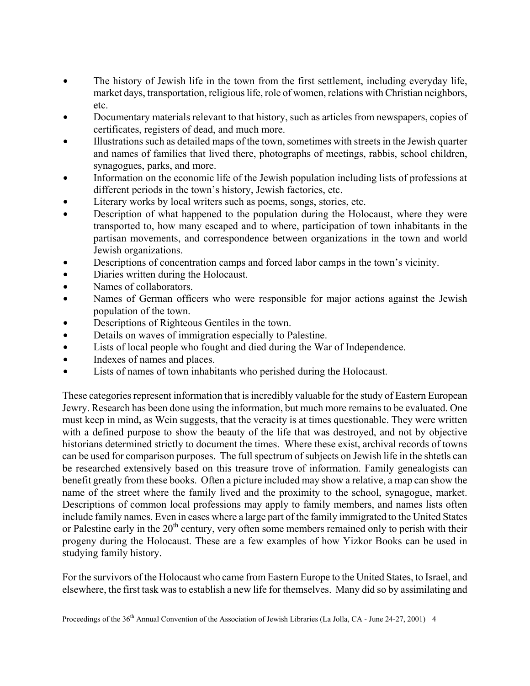- The history of Jewish life in the town from the first settlement, including everyday life, market days, transportation, religious life, role of women, relations with Christian neighbors, etc.
- Documentary materials relevant to that history, such as articles from newspapers, copies of certificates, registers of dead, and much more.
- Illustrations such as detailed maps of the town, sometimes with streets in the Jewish quarter and names of families that lived there, photographs of meetings, rabbis, school children, synagogues, parks, and more.
- Information on the economic life of the Jewish population including lists of professions at different periods in the town's history, Jewish factories, etc.
- Literary works by local writers such as poems, songs, stories, etc.
- Description of what happened to the population during the Holocaust, where they were transported to, how many escaped and to where, participation of town inhabitants in the partisan movements, and correspondence between organizations in the town and world Jewish organizations.
- Descriptions of concentration camps and forced labor camps in the town's vicinity.
- Diaries written during the Holocaust.
- Names of collaborators.
- Names of German officers who were responsible for major actions against the Jewish population of the town.
- Descriptions of Righteous Gentiles in the town.
- Details on waves of immigration especially to Palestine.
- Lists of local people who fought and died during the War of Independence.
- Indexes of names and places.
- Lists of names of town inhabitants who perished during the Holocaust.

These categories represent information that is incredibly valuable for the study of Eastern European Jewry. Research has been done using the information, but much more remains to be evaluated. One must keep in mind, as Wein suggests, that the veracity is at times questionable. They were written with a defined purpose to show the beauty of the life that was destroyed, and not by objective historians determined strictly to document the times. Where these exist, archival records of towns can be used for comparison purposes. The full spectrum of subjects on Jewish life in the shtetls can be researched extensively based on this treasure trove of information. Family genealogists can benefit greatly from these books. Often a picture included may show a relative, a map can show the name of the street where the family lived and the proximity to the school, synagogue, market. Descriptions of common local professions may apply to family members, and names lists often include family names. Even in cases where a large part of the family immigrated to the United States or Palestine early in the  $20<sup>th</sup>$  century, very often some members remained only to perish with their progeny during the Holocaust. These are a few examples of how Yizkor Books can be used in studying family history.

For the survivors of the Holocaust who came from Eastern Europe to the United States, to Israel, and elsewhere, the first task was to establish a new life for themselves. Many did so by assimilating and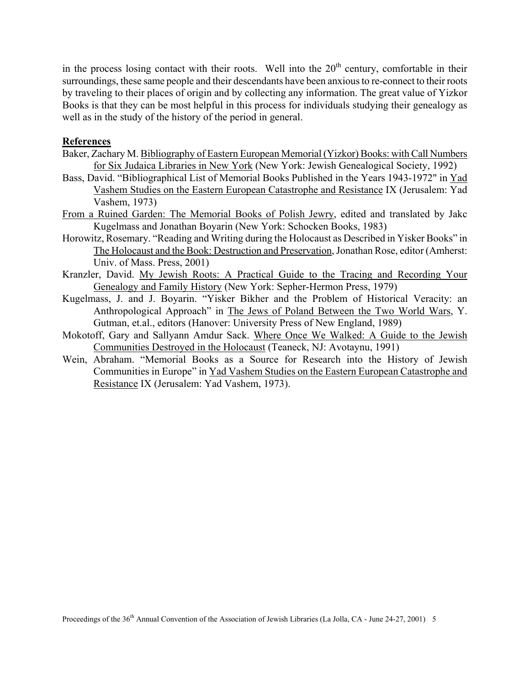in the process losing contact with their roots. Well into the  $20<sup>th</sup>$  century, comfortable in their surroundings, these same people and their descendants have been anxious to re-connect to their roots by traveling to their places of origin and by collecting any information. The great value of Yizkor Books is that they can be most helpful in this process for individuals studying their genealogy as well as in the study of the history of the period in general.

## **References**

- Baker, Zachary M. Bibliography of Eastern European Memorial (Yizkor) Books: with Call Numbers for Six Judaica Libraries in New York (New York: Jewish Genealogical Society, 1992)
- Bass, David. "Bibliographical List of Memorial Books Published in the Years 1943-1972" in Yad Vashem Studies on the Eastern European Catastrophe and Resistance IX (Jerusalem: Yad Vashem, 1973)
- From a Ruined Garden: The Memorial Books of Polish Jewry, edited and translated by Jakc Kugelmass and Jonathan Boyarin (New York: Schocken Books, 1983)
- Horowitz, Rosemary. "Reading and Writing during the Holocaust as Described in Yisker Books" in The Holocaust and the Book: Destruction and Preservation, Jonathan Rose, editor (Amherst: Univ. of Mass. Press, 2001)
- Kranzler, David. My Jewish Roots: A Practical Guide to the Tracing and Recording Your Genealogy and Family History (New York: Sepher-Hermon Press, 1979)
- Kugelmass, J. and J. Boyarin. "Yisker Bikher and the Problem of Historical Veracity: an Anthropological Approach" in The Jews of Poland Between the Two World Wars, Y. Gutman, et.al., editors (Hanover: University Press of New England, 1989)
- Mokotoff, Gary and Sallyann Amdur Sack. Where Once We Walked: A Guide to the Jewish Communities Destroyed in the Holocaust (Teaneck, NJ: Avotaynu, 1991)
- Wein, Abraham. "Memorial Books as a Source for Research into the History of Jewish Communities in Europe" in Yad Vashem Studies on the Eastern European Catastrophe and Resistance IX (Jerusalem: Yad Vashem, 1973).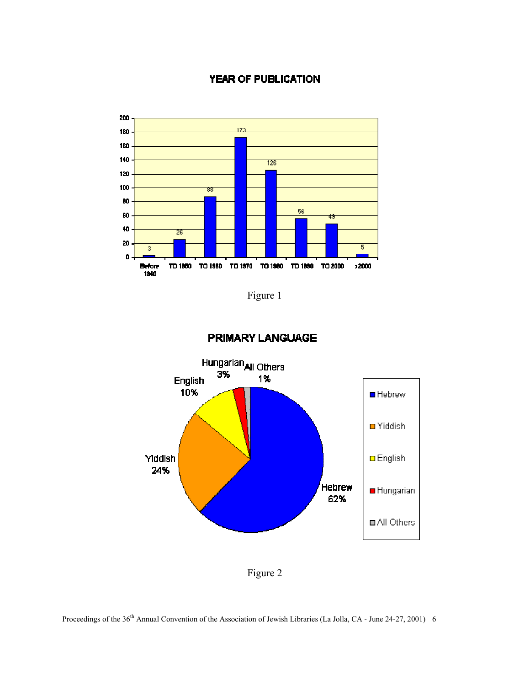#### YEAR OF PUBLICATION



Figure 1



## **PRIMARY LANGUAGE**

Figure 2

Proceedings of the 36<sup>th</sup> Annual Convention of the Association of Jewish Libraries (La Jolla, CA - June 24-27, 2001) 6